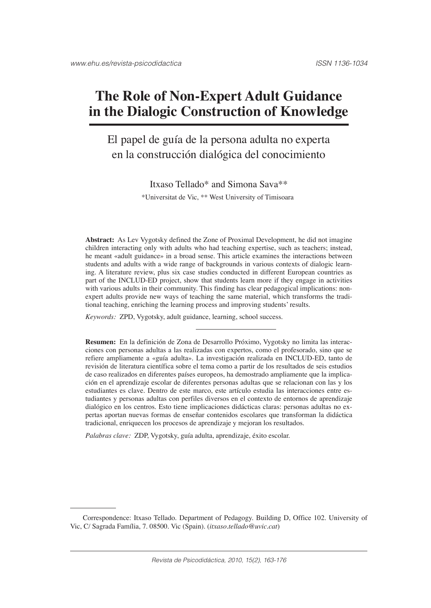# **The Role of Non-Expert Adult Guidance in the Dialogic Construction of Knowledge**

## El papel de guía de la persona adulta no experta en la construcción dialógica del conocimiento

Itxaso Tellado\* and Simona Sava\*\* \*Universitat de Vic, \*\* West University of Timisoara1

**Abstract:** As Lev Vygotsky defined the Zone of Proximal Development, he did not imagine children interacting only with adults who had teaching expertise, such as teachers; instead, he meant «adult guidance» in a broad sense. This article examines the interactions between students and adults with a wide range of backgrounds in various contexts of dialogic learning. A literature review, plus six case studies conducted in different European countries as part of the INCLUD-ED project, show that students learn more if they engage in activities with various adults in their community. This finding has clear pedagogical implications: nonexpert adults provide new ways of teaching the same material, which transforms the traditional teaching, enriching the learning process and improving students' results.

*Keywords:* ZPD, Vygotsky, adult guidance, learning, school success.

**Resumen:** En la definición de Zona de Desarrollo Próximo, Vygotsky no limita las interacciones con personas adultas a las realizadas con expertos, como el profesorado, sino que se refiere ampliamente a «guía adulta». La investigación realizada en INCLUD-ED, tanto de revisión de literatura científica sobre el tema como a partir de los resultados de seis estudios de caso realizados en diferentes países europeos, ha demostrado ampliamente que la implicación en el aprendizaje escolar de diferentes personas adultas que se relacionan con las y los estudiantes es clave. Dentro de este marco, este artículo estudia las interacciones entre estudiantes y personas adultas con perfiles diversos en el contexto de entornos de aprendizaje dialógico en los centros. Esto tiene implicaciones didácticas claras: personas adultas no expertas aportan nuevas formas de enseñar contenidos escolares que transforman la didáctica tradicional, enriquecen los procesos de aprendizaje y mejoran los resultados.

*Palabras clave:* ZDP, Vygotsky, guía adulta, aprendizaje, éxito escolar.

Correspondence: Itxaso Tellado. Department of Pedagogy. Building D, Office 102. University of Vic, C/ Sagrada Família, 7. 08500. Vic (Spain). (*itxaso.tellado@uvic.cat*)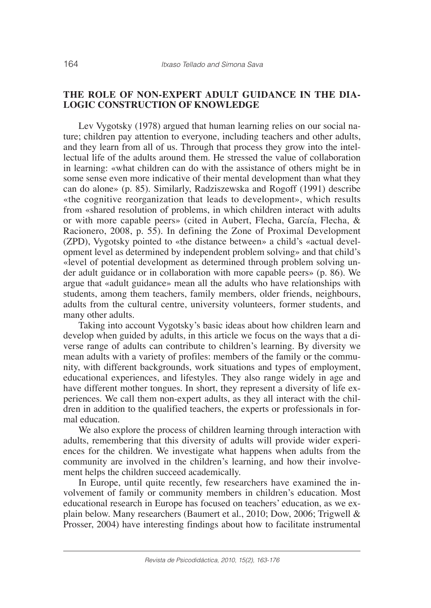## **THE ROLE OF NON-EXPERT ADULT GUIDANCE IN THE DIA-LOGIC CONSTRUCTION OF KNOWLEDGE**

Lev Vygotsky (1978) argued that human learning relies on our social nature; children pay attention to everyone, including teachers and other adults, and they learn from all of us. Through that process they grow into the intellectual life of the adults around them*.* He stressed the value of collaboration in learning: «what children can do with the assistance of others might be in some sense even more indicative of their mental development than what they can do alone» (p. 85). Similarly, Radziszewska and Rogoff (1991) describe «the cognitive reorganization that leads to development», which results from «shared resolution of problems, in which children interact with adults or with more capable peers» (cited in Aubert, Flecha, García, Flecha, & Racionero, 2008, p. 55). In defining the Zone of Proximal Development (ZPD), Vygotsky pointed to «the distance between» a child's «actual development level as determined by independent problem solving» and that child's «level of potential development as determined through problem solving under adult guidance or in collaboration with more capable peers» (p. 86). We argue that «adult guidance» mean all the adults who have relationships with students, among them teachers, family members, older friends, neighbours, adults from the cultural centre, university volunteers, former students, and many other adults.

Taking into account Vygotsky's basic ideas about how children learn and develop when guided by adults, in this article we focus on the ways that a diverse range of adults can contribute to children's learning. By diversity we mean adults with a variety of profiles: members of the family or the community, with different backgrounds, work situations and types of employment, educational experiences, and lifestyles. They also range widely in age and have different mother tongues. In short, they represent a diversity of life experiences. We call them non-expert adults, as they all interact with the children in addition to the qualified teachers, the experts or professionals in formal education.

We also explore the process of children learning through interaction with adults, remembering that this diversity of adults will provide wider experiences for the children. We investigate what happens when adults from the community are involved in the children's learning, and how their involvement helps the children succeed academically.

In Europe, until quite recently, few researchers have examined the involvement of family or community members in children's education. Most educational research in Europe has focused on teachers' education, as we explain below. Many researchers (Baumert et al., 2010; Dow, 2006; Trigwell & Prosser, 2004) have interesting findings about how to facilitate instrumental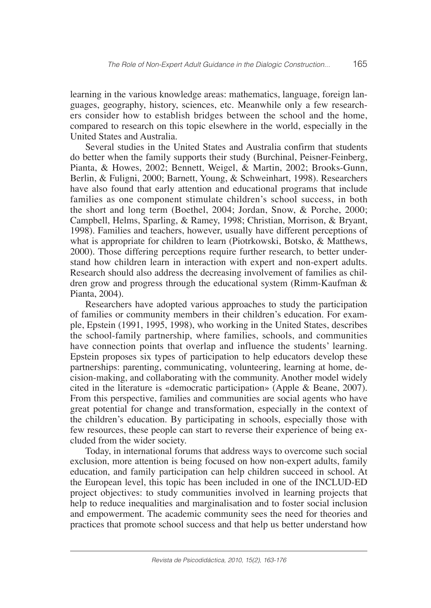learning in the various knowledge areas: mathematics, language, foreign languages, geography, history, sciences, etc. Meanwhile only a few researchers consider how to establish bridges between the school and the home, compared to research on this topic elsewhere in the world, especially in the United States and Australia.

Several studies in the United States and Australia confirm that students do better when the family supports their study (Burchinal, Peisner-Feinberg, Pianta, & Howes, 2002; Bennett, Weigel, & Martin, 2002; Brooks-Gunn, Berlin, & Fuligni, 2000; Barnett, Young, & Schweinhart, 1998). Researchers have also found that early attention and educational programs that include families as one component stimulate children's school success, in both the short and long term (Boethel, 2004; Jordan, Snow, & Porche, 2000; Campbell, Helms, Sparling, & Ramey, 1998; Christian, Morrison, & Bryant, 1998). Families and teachers, however, usually have different perceptions of what is appropriate for children to learn (Piotrkowski, Botsko, & Matthews, 2000). Those differing perceptions require further research, to better understand how children learn in interaction with expert and non-expert adults. Research should also address the decreasing involvement of families as children grow and progress through the educational system (Rimm-Kaufman & Pianta, 2004).

Researchers have adopted various approaches to study the participation of families or community members in their children's education. For example, Epstein (1991, 1995, 1998), who working in the United States, describes the school-family partnership, where families, schools, and communities have connection points that overlap and influence the students' learning. Epstein proposes six types of participation to help educators develop these partnerships: parenting, communicating, volunteering, learning at home, decision-making, and collaborating with the community. Another model widely cited in the literature is «democratic participation» (Apple & Beane, 2007). From this perspective, families and communities are social agents who have great potential for change and transformation, especially in the context of the children's education. By participating in schools, especially those with few resources, these people can start to reverse their experience of being excluded from the wider society.

Today, in international forums that address ways to overcome such social exclusion, more attention is being focused on how non-expert adults, family education, and family participation can help children succeed in school. At the European level, this topic has been included in one of the INCLUD-ED project objectives: to study communities involved in learning projects that help to reduce inequalities and marginalisation and to foster social inclusion and empowerment. The academic community sees the need for theories and practices that promote school success and that help us better understand how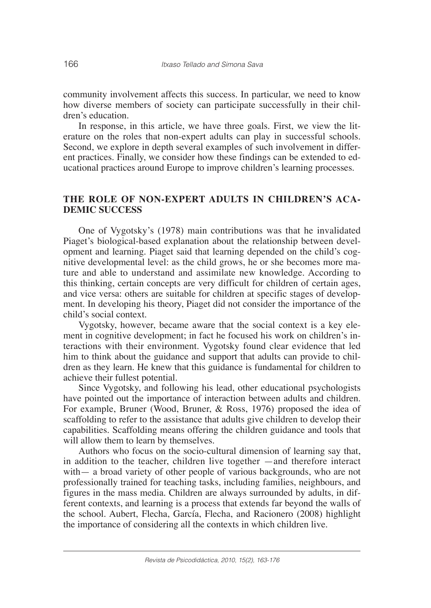community involvement affects this success. In particular, we need to know how diverse members of society can participate successfully in their children's education.

In response, in this article, we have three goals. First, we view the literature on the roles that non-expert adults can play in successful schools. Second, we explore in depth several examples of such involvement in different practices. Finally, we consider how these findings can be extended to educational practices around Europe to improve children's learning processes.

## **THE ROLE OF NON-EXPERT ADULTS IN CHILDREN'S ACA-DEMIC SUCCESS**

One of Vygotsky's (1978) main contributions was that he invalidated Piaget's biological-based explanation about the relationship between development and learning. Piaget said that learning depended on the child's cognitive developmental level: as the child grows, he or she becomes more mature and able to understand and assimilate new knowledge. According to this thinking, certain concepts are very difficult for children of certain ages, and vice versa: others are suitable for children at specific stages of development. In developing his theory, Piaget did not consider the importance of the child's social context.

Vygotsky, however, became aware that the social context is a key element in cognitive development; in fact he focused his work on children's interactions with their environment. Vygotsky found clear evidence that led him to think about the guidance and support that adults can provide to children as they learn. He knew that this guidance is fundamental for children to achieve their fullest potential.

Since Vygotsky, and following his lead, other educational psychologists have pointed out the importance of interaction between adults and children. For example, Bruner (Wood, Bruner, & Ross, 1976) proposed the idea of scaffolding to refer to the assistance that adults give children to develop their capabilities. Scaffolding means offering the children guidance and tools that will allow them to learn by themselves.

Authors who focus on the socio-cultural dimension of learning say that, in addition to the teacher, children live together —and therefore interact with— a broad variety of other people of various backgrounds, who are not professionally trained for teaching tasks, including families, neighbours, and figures in the mass media. Children are always surrounded by adults, in different contexts, and learning is a process that extends far beyond the walls of the school. Aubert, Flecha, García, Flecha, and Racionero (2008) highlight the importance of considering all the contexts in which children live.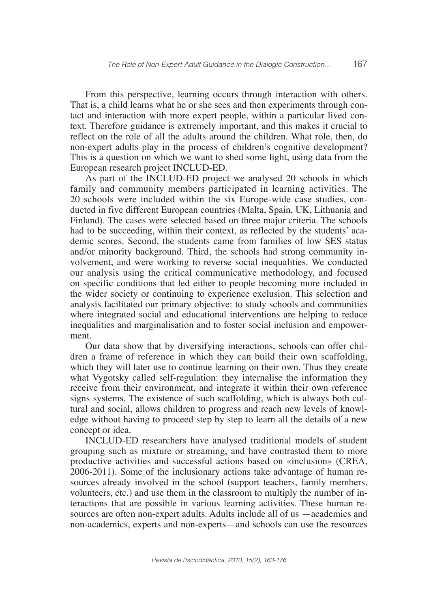From this perspective, learning occurs through interaction with others. That is, a child learns what he or she sees and then experiments through contact and interaction with more expert people, within a particular lived context. Therefore guidance is extremely important, and this makes it crucial to reflect on the role of all the adults around the children. What role, then, do non-expert adults play in the process of children's cognitive development? This is a question on which we want to shed some light, using data from the European research project INCLUD-ED.

As part of the INCLUD-ED project we analysed 20 schools in which family and community members participated in learning activities. The 20 schools were included within the six Europe-wide case studies, conducted in five different European countries (Malta, Spain, UK, Lithuania and Finland). The cases were selected based on three major criteria. The schools had to be succeeding, within their context, as reflected by the students' academic scores. Second, the students came from families of low SES status and/or minority background. Third, the schools had strong community involvement, and were working to reverse social inequalities. We conducted our analysis using the critical communicative methodology, and focused on specific conditions that led either to people becoming more included in the wider society or continuing to experience exclusion. This selection and analysis facilitated our primary objective: to study schools and communities where integrated social and educational interventions are helping to reduce inequalities and marginalisation and to foster social inclusion and empowerment.

Our data show that by diversifying interactions, schools can offer children a frame of reference in which they can build their own scaffolding, which they will later use to continue learning on their own. Thus they create what Vygotsky called self-regulation: they internalise the information they receive from their environment, and integrate it within their own reference signs systems. The existence of such scaffolding, which is always both cultural and social, allows children to progress and reach new levels of knowledge without having to proceed step by step to learn all the details of a new concept or idea.

INCLUD-ED researchers have analysed traditional models of student grouping such as mixture or streaming, and have contrasted them to more productive activities and successful actions based on «inclusion» (CREA, 2006-2011). Some of the inclusionary actions take advantage of human resources already involved in the school (support teachers, family members, volunteers, etc.) and use them in the classroom to multiply the number of interactions that are possible in various learning activities. These human resources are often non-expert adults. Adults include all of us —academics and non-academics, experts and non-experts—and schools can use the resources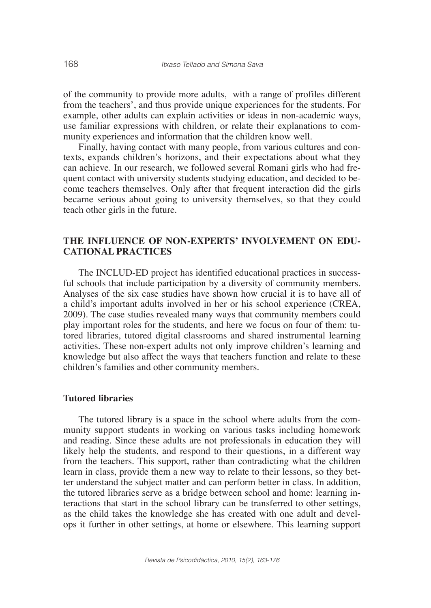of the community to provide more adults, with a range of profiles different from the teachers', and thus provide unique experiences for the students. For example, other adults can explain activities or ideas in non-academic ways, use familiar expressions with children, or relate their explanations to community experiences and information that the children know well.

Finally, having contact with many people, from various cultures and contexts, expands children's horizons, and their expectations about what they can achieve. In our research, we followed several Romani girls who had frequent contact with university students studying education, and decided to become teachers themselves. Only after that frequent interaction did the girls became serious about going to university themselves, so that they could teach other girls in the future.

## **THE INFLUENCE OF NON-EXPERTS' INVOLVEMENT ON EDU-CATIONAL PRACTICES**

The INCLUD-ED project has identified educational practices in successful schools that include participation by a diversity of community members. Analyses of the six case studies have shown how crucial it is to have all of a child's important adults involved in her or his school experience (CREA, 2009). The case studies revealed many ways that community members could play important roles for the students, and here we focus on four of them: tutored libraries, tutored digital classrooms and shared instrumental learning activities. These non-expert adults not only improve children's learning and knowledge but also affect the ways that teachers function and relate to these children's families and other community members.

#### **Tutored libraries**

The tutored library is a space in the school where adults from the community support students in working on various tasks including homework and reading. Since these adults are not professionals in education they will likely help the students, and respond to their questions, in a different way from the teachers. This support, rather than contradicting what the children learn in class, provide them a new way to relate to their lessons, so they better understand the subject matter and can perform better in class. In addition, the tutored libraries serve as a bridge between school and home: learning interactions that start in the school library can be transferred to other settings, as the child takes the knowledge she has created with one adult and develops it further in other settings, at home or elsewhere. This learning support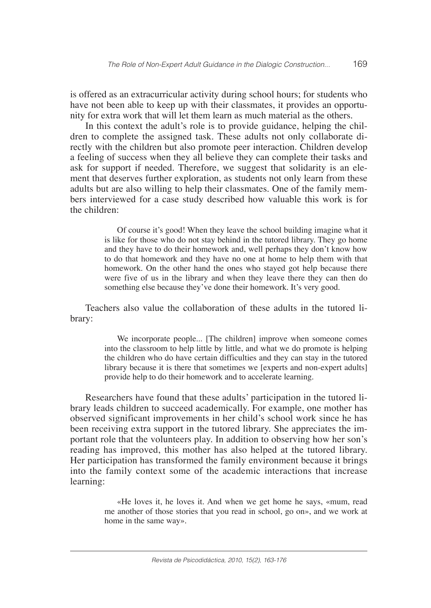is offered as an extracurricular activity during school hours; for students who have not been able to keep up with their classmates, it provides an opportunity for extra work that will let them learn as much material as the others.

In this context the adult's role is to provide guidance, helping the children to complete the assigned task. These adults not only collaborate directly with the children but also promote peer interaction. Children develop a feeling of success when they all believe they can complete their tasks and ask for support if needed. Therefore, we suggest that solidarity is an element that deserves further exploration, as students not only learn from these adults but are also willing to help their classmates. One of the family members interviewed for a case study described how valuable this work is for the children:

> Of course it's good! When they leave the school building imagine what it is like for those who do not stay behind in the tutored library. They go home and they have to do their homework and, well perhaps they don't know how to do that homework and they have no one at home to help them with that homework. On the other hand the ones who stayed got help because there were five of us in the library and when they leave there they can then do something else because they've done their homework. It's very good.

Teachers also value the collaboration of these adults in the tutored library:

> We incorporate people... [The children] improve when someone comes into the classroom to help little by little, and what we do promote is helping the children who do have certain difficulties and they can stay in the tutored library because it is there that sometimes we [experts and non-expert adults] provide help to do their homework and to accelerate learning.

Researchers have found that these adults' participation in the tutored library leads children to succeed academically. For example, one mother has observed significant improvements in her child's school work since he has been receiving extra support in the tutored library. She appreciates the important role that the volunteers play. In addition to observing how her son's reading has improved, this mother has also helped at the tutored library. Her participation has transformed the family environment because it brings into the family context some of the academic interactions that increase learning:

> «He loves it, he loves it. And when we get home he says, «mum, read me another of those stories that you read in school, go on», and we work at home in the same way».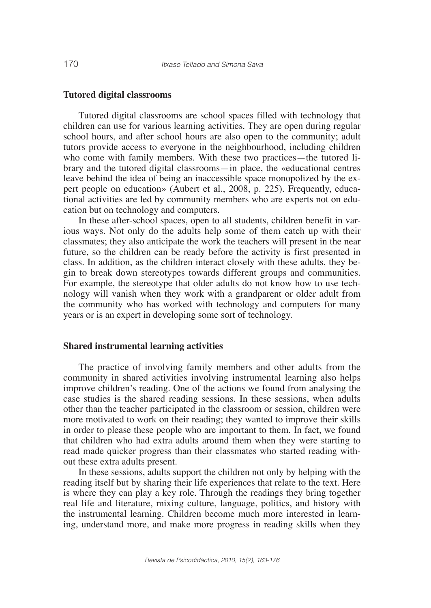#### **Tutored digital classrooms**

Tutored digital classrooms are school spaces filled with technology that children can use for various learning activities. They are open during regular school hours, and after school hours are also open to the community; adult tutors provide access to everyone in the neighbourhood, including children who come with family members. With these two practices—the tutored library and the tutored digital classrooms—in place, the «educational centres leave behind the idea of being an inaccessible space monopolized by the expert people on education» (Aubert et al., 2008, p. 225). Frequently, educational activities are led by community members who are experts not on education but on technology and computers.

In these after-school spaces, open to all students, children benefit in various ways. Not only do the adults help some of them catch up with their classmates; they also anticipate the work the teachers will present in the near future, so the children can be ready before the activity is first presented in class. In addition, as the children interact closely with these adults, they begin to break down stereotypes towards different groups and communities. For example, the stereotype that older adults do not know how to use technology will vanish when they work with a grandparent or older adult from the community who has worked with technology and computers for many years or is an expert in developing some sort of technology.

#### **Shared instrumental learning activities**

The practice of involving family members and other adults from the community in shared activities involving instrumental learning also helps improve children's reading. One of the actions we found from analysing the case studies is the shared reading sessions. In these sessions, when adults other than the teacher participated in the classroom or session, children were more motivated to work on their reading; they wanted to improve their skills in order to please these people who are important to them. In fact, we found that children who had extra adults around them when they were starting to read made quicker progress than their classmates who started reading without these extra adults present.

In these sessions, adults support the children not only by helping with the reading itself but by sharing their life experiences that relate to the text. Here is where they can play a key role. Through the readings they bring together real life and literature, mixing culture, language, politics, and history with the instrumental learning. Children become much more interested in learning, understand more, and make more progress in reading skills when they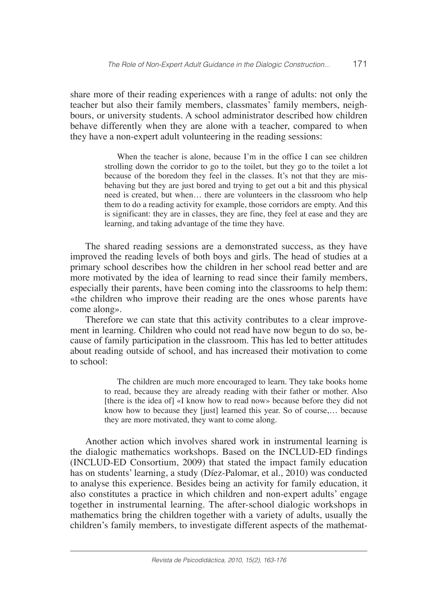share more of their reading experiences with a range of adults: not only the teacher but also their family members, classmates' family members, neighbours, or university students. A school administrator described how children behave differently when they are alone with a teacher, compared to when they have a non-expert adult volunteering in the reading sessions:

> When the teacher is alone, because I'm in the office I can see children strolling down the corridor to go to the toilet, but they go to the toilet a lot because of the boredom they feel in the classes. It's not that they are misbehaving but they are just bored and trying to get out a bit and this physical need is created, but when… there are volunteers in the classroom who help them to do a reading activity for example, those corridors are empty. And this is significant: they are in classes, they are fine, they feel at ease and they are learning, and taking advantage of the time they have.

The shared reading sessions are a demonstrated success, as they have improved the reading levels of both boys and girls. The head of studies at a primary school describes how the children in her school read better and are more motivated by the idea of learning to read since their family members, especially their parents, have been coming into the classrooms to help them: «the children who improve their reading are the ones whose parents have come along».

Therefore we can state that this activity contributes to a clear improvement in learning. Children who could not read have now begun to do so, because of family participation in the classroom. This has led to better attitudes about reading outside of school, and has increased their motivation to come to school:

> The children are much more encouraged to learn. They take books home to read, because they are already reading with their father or mother. Also [there is the idea of] «I know how to read now» because before they did not know how to because they [just] learned this year. So of course,… because they are more motivated, they want to come along.

Another action which involves shared work in instrumental learning is the dialogic mathematics workshops. Based on the INCLUD-ED findings (INCLUD-ED Consortium, 2009) that stated the impact family education has on students' learning, a study (Díez-Palomar, et al., 2010) was conducted to analyse this experience. Besides being an activity for family education, it also constitutes a practice in which children and non-expert adults' engage together in instrumental learning. The after-school dialogic workshops in mathematics bring the children together with a variety of adults, usually the children's family members, to investigate different aspects of the mathemat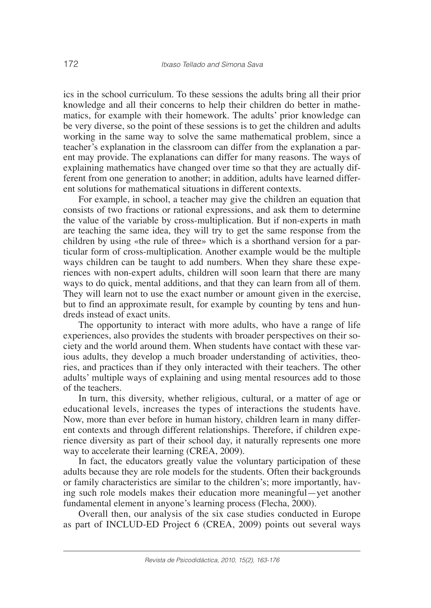ics in the school curriculum. To these sessions the adults bring all their prior knowledge and all their concerns to help their children do better in mathematics, for example with their homework. The adults' prior knowledge can be very diverse, so the point of these sessions is to get the children and adults working in the same way to solve the same mathematical problem, since a teacher's explanation in the classroom can differ from the explanation a parent may provide. The explanations can differ for many reasons. The ways of explaining mathematics have changed over time so that they are actually different from one generation to another; in addition, adults have learned different solutions for mathematical situations in different contexts.

For example, in school, a teacher may give the children an equation that consists of two fractions or rational expressions, and ask them to determine the value of the variable by cross-multiplication. But if non-experts in math are teaching the same idea, they will try to get the same response from the children by using «the rule of three» which is a shorthand version for a particular form of cross-multiplication. Another example would be the multiple ways children can be taught to add numbers. When they share these experiences with non-expert adults, children will soon learn that there are many ways to do quick, mental additions, and that they can learn from all of them. They will learn not to use the exact number or amount given in the exercise, but to find an approximate result, for example by counting by tens and hundreds instead of exact units.

The opportunity to interact with more adults, who have a range of life experiences, also provides the students with broader perspectives on their society and the world around them. When students have contact with these various adults, they develop a much broader understanding of activities, theories, and practices than if they only interacted with their teachers. The other adults' multiple ways of explaining and using mental resources add to those of the teachers.

In turn, this diversity, whether religious, cultural, or a matter of age or educational levels, increases the types of interactions the students have. Now, more than ever before in human history, children learn in many different contexts and through different relationships. Therefore, if children experience diversity as part of their school day, it naturally represents one more way to accelerate their learning (CREA, 2009).

In fact, the educators greatly value the voluntary participation of these adults because they are role models for the students. Often their backgrounds or family characteristics are similar to the children's; more importantly, having such role models makes their education more meaningful—yet another fundamental element in anyone's learning process (Flecha, 2000).

Overall then, our analysis of the six case studies conducted in Europe as part of INCLUD-ED Project 6 (CREA, 2009) points out several ways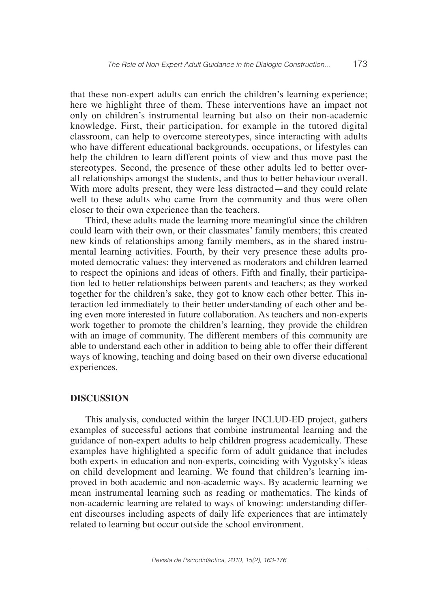that these non-expert adults can enrich the children's learning experience; here we highlight three of them. These interventions have an impact not only on children's instrumental learning but also on their non-academic knowledge. First, their participation, for example in the tutored digital classroom, can help to overcome stereotypes, since interacting with adults who have different educational backgrounds, occupations, or lifestyles can help the children to learn different points of view and thus move past the stereotypes. Second, the presence of these other adults led to better overall relationships amongst the students, and thus to better behaviour overall. With more adults present, they were less distracted—and they could relate well to these adults who came from the community and thus were often closer to their own experience than the teachers.

Third, these adults made the learning more meaningful since the children could learn with their own, or their classmates' family members; this created new kinds of relationships among family members, as in the shared instrumental learning activities. Fourth, by their very presence these adults promoted democratic values: they intervened as moderators and children learned to respect the opinions and ideas of others. Fifth and finally, their participation led to better relationships between parents and teachers; as they worked together for the children's sake, they got to know each other better. This interaction led immediately to their better understanding of each other and being even more interested in future collaboration. As teachers and non-experts work together to promote the children's learning, they provide the children with an image of community. The different members of this community are able to understand each other in addition to being able to offer their different ways of knowing, teaching and doing based on their own diverse educational experiences.

## **DISCUSSION**

This analysis, conducted within the larger INCLUD-ED project, gathers examples of successful actions that combine instrumental learning and the guidance of non-expert adults to help children progress academically. These examples have highlighted a specific form of adult guidance that includes both experts in education and non-experts, coinciding with Vygotsky's ideas on child development and learning. We found that children's learning improved in both academic and non-academic ways. By academic learning we mean instrumental learning such as reading or mathematics. The kinds of non-academic learning are related to ways of knowing: understanding different discourses including aspects of daily life experiences that are intimately related to learning but occur outside the school environment.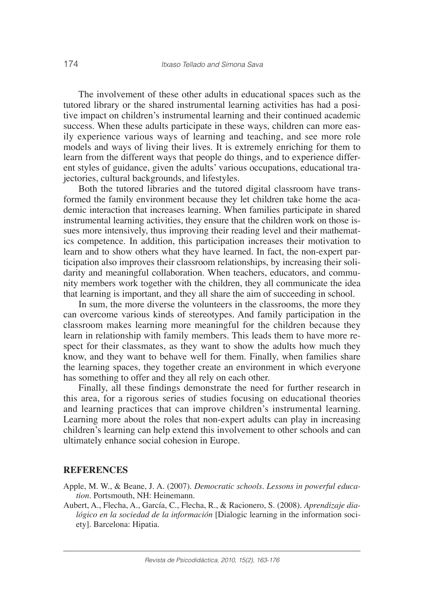The involvement of these other adults in educational spaces such as the tutored library or the shared instrumental learning activities has had a positive impact on children's instrumental learning and their continued academic success. When these adults participate in these ways, children can more easily experience various ways of learning and teaching, and see more role models and ways of living their lives. It is extremely enriching for them to learn from the different ways that people do things, and to experience different styles of guidance, given the adults' various occupations, educational trajectories, cultural backgrounds, and lifestyles.

Both the tutored libraries and the tutored digital classroom have transformed the family environment because they let children take home the academic interaction that increases learning. When families participate in shared instrumental learning activities, they ensure that the children work on those issues more intensively, thus improving their reading level and their mathematics competence. In addition, this participation increases their motivation to learn and to show others what they have learned. In fact, the non-expert participation also improves their classroom relationships, by increasing their solidarity and meaningful collaboration. When teachers, educators, and community members work together with the children, they all communicate the idea that learning is important, and they all share the aim of succeeding in school.

In sum, the more diverse the volunteers in the classrooms, the more they can overcome various kinds of stereotypes. And family participation in the classroom makes learning more meaningful for the children because they learn in relationship with family members. This leads them to have more respect for their classmates, as they want to show the adults how much they know, and they want to behave well for them. Finally, when families share the learning spaces, they together create an environment in which everyone has something to offer and they all rely on each other.

Finally, all these findings demonstrate the need for further research in this area, for a rigorous series of studies focusing on educational theories and learning practices that can improve children's instrumental learning. Learning more about the roles that non-expert adults can play in increasing children's learning can help extend this involvement to other schools and can ultimately enhance social cohesion in Europe.

## **REFERENCES**

- Apple, M. W., & Beane, J. A. (2007). *Democratic schools. Lessons in powerful education*. Portsmouth, NH: Heinemann.
- Aubert, A., Flecha, A., García, C., Flecha, R., & Racionero, S. (2008). *Aprendizaje dialógico en la sociedad de la información* [Dialogic learning in the information society]. Barcelona: Hipatia.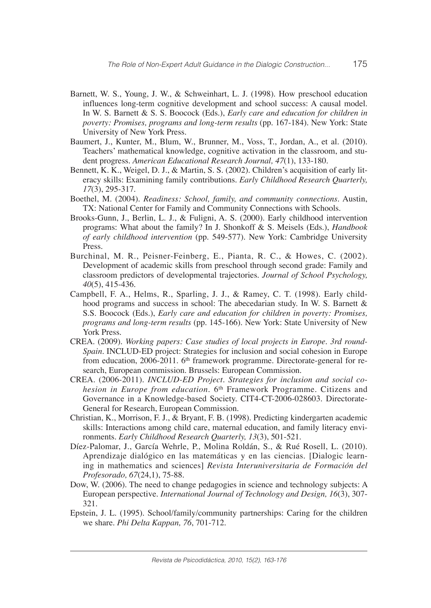- Barnett, W. S., Young, J. W., & Schweinhart, L. J. (1998). How preschool education influences long-term cognitive development and school success: A causal model. In W. S. Barnett & S. S. Boocock (Eds.), *Early care and education for children in poverty: Promises, programs and long-term results* (pp. 167-184). New York: State University of New York Press.
- Baumert, J., Kunter, M., Blum, W., Brunner, M., Voss, T., Jordan, A., et al. (2010). Teachers' mathematical knowledge, cognitive activation in the classroom, and student progress. *American Educational Research Journal, 47*(1), 133-180.
- Bennett, K. K., Weigel, D. J., & Martin, S. S. (2002). Children's acquisition of early literacy skills: Examining family contributions. *Early Childhood Research Quarterly, 17*(3), 295-317.
- Boethel, M. (2004). *Readiness: School, family, and community connections.* Austin, TX: National Center for Family and Community Connections with Schools.
- Brooks-Gunn, J., Berlin, L. J., & Fuligni, A. S. (2000). Early childhood intervention programs: What about the family? In J. Shonkoff & S. Meisels (Eds.), *Handbook of early childhood intervention* (pp. 549-577). New York: Cambridge University Press.
- Burchinal, M. R., Peisner-Feinberg, E., Pianta, R. C., & Howes, C. (2002). Development of academic skills from preschool through second grade: Family and classroom predictors of developmental trajectories. *Journal of School Psychology, 40*(5), 415-436.
- Campbell, F. A., Helms, R., Sparling, J. J., & Ramey, C. T. (1998). Early childhood programs and success in school: The abecedarian study. In W. S. Barnett & S.S. Boocock (Eds.), *Early care and education for children in poverty: Promises, programs and long-term results* (pp. 145-166). New York: State University of New York Press.
- CREA. (2009). *Working papers: Case studies of local projects in Europe. 3rd round-Spain*. INCLUD-ED project: Strategies for inclusion and social cohesion in Europe from education, 2006-2011. 6<sup>th</sup> framework programme. Directorate-general for research, European commission. Brussels: European Commission.
- CREA. (2006-2011). *INCLUD-ED Project. Strategies for inclusion and social cohesion in Europe from education*. 6th Framework Programme. Citizens and Governance in a Knowledge-based Society. CIT4-CT-2006-028603. Directorate-General for Research, European Commission.
- Christian, K., Morrison, F. J., & Bryant, F. B. (1998). Predicting kindergarten academic skills: Interactions among child care, maternal education, and family literacy environments. *Early Childhood Research Quarterly, 13*(3), 501-521.
- Díez-Palomar, J., García Wehrle, P., Molina Roldán, S., & Rué Rosell, L. (2010). Aprendizaje dialógico en las matemáticas y en las ciencias. [Dialogic learning in mathematics and sciences] *Revista Interuniversitaria de Formación del Profesorado, 67*(24,1), 75-88.
- Dow, W. (2006). The need to change pedagogies in science and technology subjects: A European perspective. *International Journal of Technology and Design, 16*(3), 307- 321.
- Epstein, J. L. (1995). School/family/community partnerships: Caring for the children we share. *Phi Delta Kappan, 76*, 701-712.